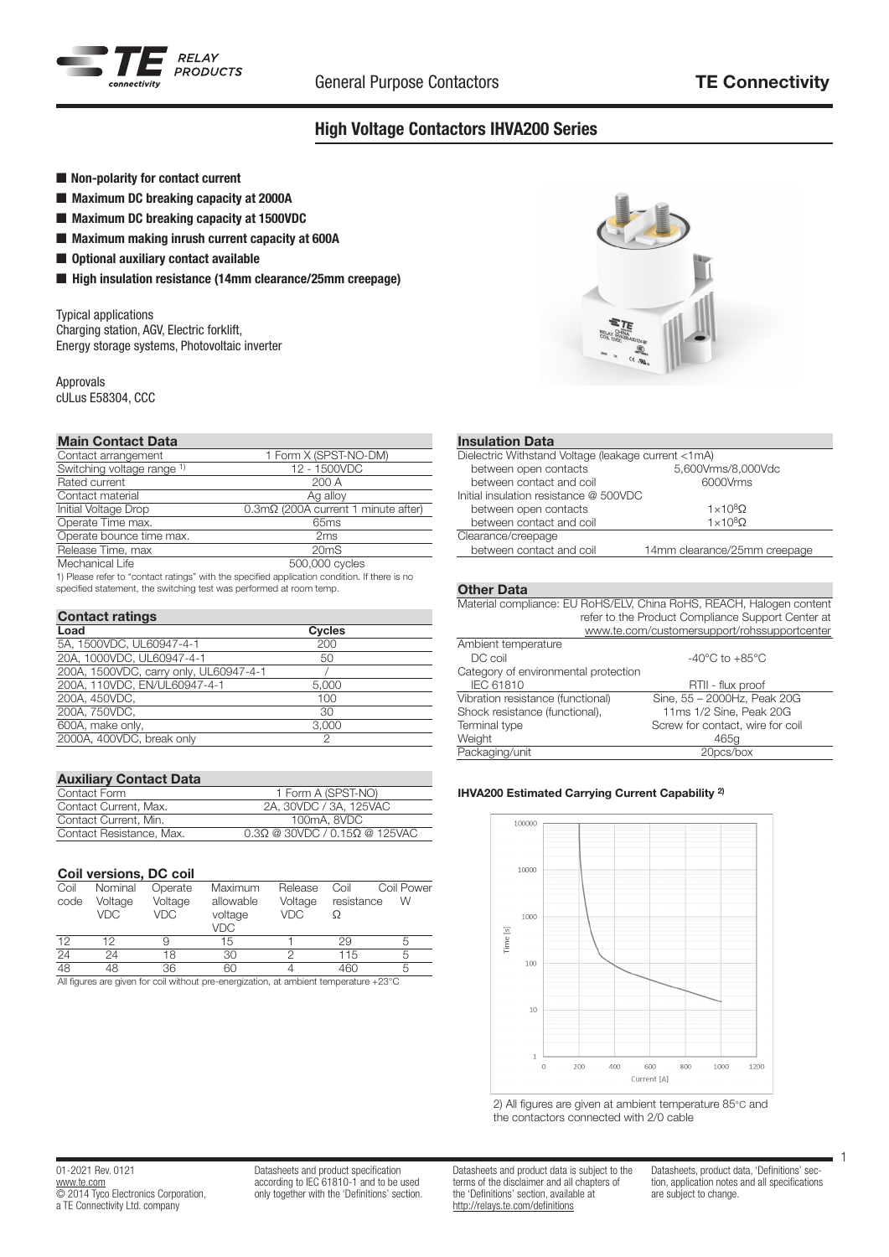

# High Voltage Contactors IHVA200 Series

- Non-polarity for contact current
- Maximum DC breaking capacity at 2000A
- Maximum DC breaking capacity at 1500VDC
- $\blacksquare$  Maximum making inrush current capacity at 600A
- $\blacksquare$  Optional auxiliary contact available
- High insulation resistance (14mm clearance/25mm creepage)

Typical applications Charging station, AGV, Electric forklift, Energy storage systems, Photovoltaic inverter

Approvals

cULus E58304, CCC

## Main Contact Data

| Contact arrangement        | 1 Form X (SPST-NO-DM)                                                                              |
|----------------------------|----------------------------------------------------------------------------------------------------|
| Switching voltage range 1) | 12 - 1500VDC                                                                                       |
| Rated current              | 200A                                                                                               |
| Contact material           | Ag alloy                                                                                           |
| Initial Voltage Drop       | $0.3 \text{m}\Omega$ (200A current 1 minute after)                                                 |
| Operate Time max.          | 65 <sub>ms</sub>                                                                                   |
| Operate bounce time max.   | 2ms                                                                                                |
| Release Time, max          | 20 <sub>m</sub> S                                                                                  |
| Mechanical Life            | 500,000 cycles                                                                                     |
|                            | 4) Discou polonia Bacquiari polonia di Militare consideri confinationi con differenti di la contra |

 1) Please refer to "contact ratings" with the specified application condition. If there is no specified statement, the switching test was performed at room temp.

## Contact ratings

| Load                                   | <b>Cycles</b> |  |
|----------------------------------------|---------------|--|
| 5A, 1500VDC, UL60947-4-1               | 200           |  |
| 20A, 1000VDC, UL60947-4-1              | 50            |  |
| 200A, 1500VDC, carry only, UL60947-4-1 |               |  |
| 200A. 110VDC. EN/UL60947-4-1           | 5.000         |  |
| 200A, 450VDC,                          | 100           |  |
| 200A, 750VDC,                          | 30            |  |
| 600A, make only,                       | 3.000         |  |
| 2000A, 400VDC, break only              | っ             |  |

| <b>Auxiliary Contact Data</b> |                                              |
|-------------------------------|----------------------------------------------|
| Contact Form                  | 1 Form A (SPST-NO)                           |
| Contact Current, Max.         | 2A. 30VDC / 3A. 125VAC                       |
| Contact Current, Min.         | 100mA, 8VDC                                  |
| Contact Resistance, Max.      | $0.3\Omega$ @ 30VDC / 0.15 $\Omega$ @ 125VAC |

## Coil versions, DC coil

| Coil | Nominal        | Operate        | Maximum                                                                            | Release        | Coil       | Coil Power |
|------|----------------|----------------|------------------------------------------------------------------------------------|----------------|------------|------------|
| code | Voltage<br>VDC | Voltage<br>VDC | allowable<br>voltage<br>VDC                                                        | Voltage<br>VDC | resistance | W          |
| 12   | 12             |                | 15                                                                                 |                | 29         |            |
| 24   | 24             | 18             | 30                                                                                 |                | 115        |            |
| 48   | 48             | 36             | 60                                                                                 |                | 460        |            |
|      |                |                | All figures are given for eal without are energizedian at ambient temperature 1998 |                |            |            |

jures are given for coil without pre-energization, at ambient temperature +23°C



### Insulation Data

| Dielectric Withstand Voltage (leakage current <1mA) |                              |  |  |  |
|-----------------------------------------------------|------------------------------|--|--|--|
| between open contacts                               | 5,600Vrms/8,000Vdc           |  |  |  |
| between contact and coil                            | 6000Vrms                     |  |  |  |
| Initial insulation resistance @ 500VDC              |                              |  |  |  |
| between open contacts                               | $1 \times 10^8$ Ω            |  |  |  |
| between contact and coil                            | $1 \times 10^8$ Ω            |  |  |  |
| Clearance/creepage                                  |                              |  |  |  |
| between contact and coil                            | 14mm clearance/25mm creepage |  |  |  |
|                                                     |                              |  |  |  |

## Other Data

Material compliance: EU RoHS/ELV, China RoHS, REACH, Halogen content refer to the Product Compliance Support Center at

|                                      | www.te.com/customersupport/rohssupportcenter |
|--------------------------------------|----------------------------------------------|
|                                      |                                              |
| Ambient temperature                  |                                              |
| DC coil                              | $-40^{\circ}$ C to $+85^{\circ}$ C           |
| Category of environmental protection |                                              |
| IEC 61810                            | RTII - flux proof                            |
| Vibration resistance (functional)    | Sine, 55 - 2000Hz, Peak 20G                  |
| Shock resistance (functional),       | 11ms 1/2 Sine, Peak 20G                      |
| Terminal type                        | Screw for contact, wire for coil             |
| Weight                               | 465g                                         |
| Packaging/unit                       | 20pcs/box                                    |
|                                      |                                              |

## IHVA200 Estimated Carrying Current Capability 2)



2) All figures are given at ambient temperature 85°C and the contactors connected with 2/0 cable

#### 01-2021 Rev. 0121 www.te.com **COMPLETED** Electronics Corporation, a TE Connectivity Ltd. company

Datasheets and product specification according to IEC 61810-1 and to be used only together with the 'Definitions' section. Datasheets and product data is subject to the terms of the disclaimer and all chapters of the 'Definitions' section, available at http://relays.te.com/definitions

Datasheets, product data, 'Definitions' section, application notes and all specifications are subject to change.

1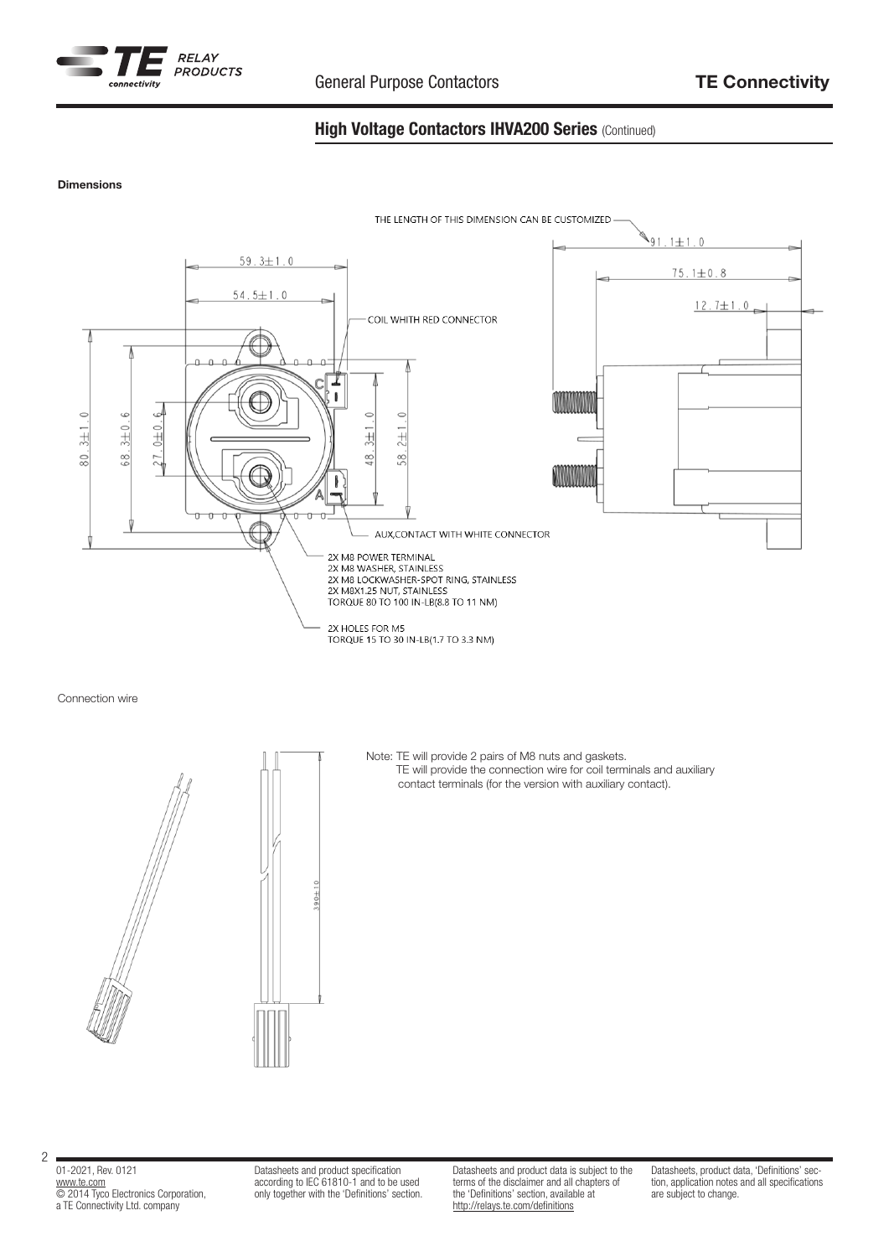

## High Voltage Contactors IHVA200 Series (Continued)

### Dimensions



Connection wire

### Note: TE will provide 2 pairs of M8 nuts and gaskets. TE will provide the connection wire for coil terminals and auxiliary contact terminals (for the version with auxiliary contact).

01-2021, Rev. 0121 www.te.com © 2014 Tyco Electronics Corporation, a TE Connectivity Ltd. company

2

Datasheets and product specification according to IEC 61810-1 and to be used only together with the 'Definitions' section.

 $90 + 10$ 

Datasheets and product data is subject to the terms of the disclaimer and all chapters of the 'Definitions' section, available at http://relays.te.com/definitions

Datasheets, product data, 'Definitions' section, application notes and all specifications are subject to change.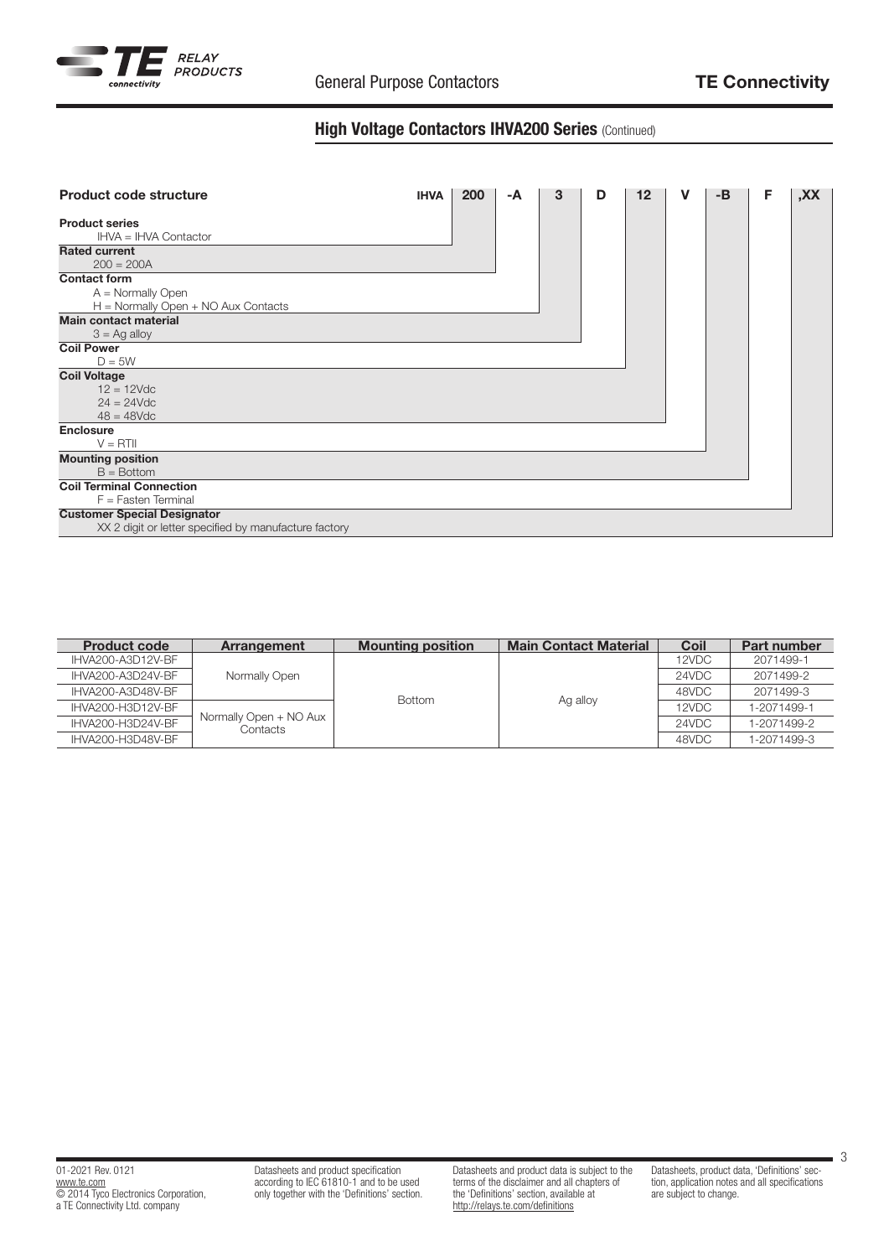

## High Voltage Contactors IHVA200 Series (Continued)

| <b>Product code structure</b>                         | <b>IHVA</b> | 200 | -A | 3 | D | 12 | v | $-B$ | F | XX, |
|-------------------------------------------------------|-------------|-----|----|---|---|----|---|------|---|-----|
| <b>Product series</b><br>IHVA = IHVA Contactor        |             |     |    |   |   |    |   |      |   |     |
| <b>Rated current</b>                                  |             |     |    |   |   |    |   |      |   |     |
| $200 = 200A$                                          |             |     |    |   |   |    |   |      |   |     |
| <b>Contact form</b>                                   |             |     |    |   |   |    |   |      |   |     |
| $A =$ Normally Open                                   |             |     |    |   |   |    |   |      |   |     |
| $H =$ Normally Open $+$ NO Aux Contacts               |             |     |    |   |   |    |   |      |   |     |
| <b>Main contact material</b>                          |             |     |    |   |   |    |   |      |   |     |
| $3 =$ Ag alloy                                        |             |     |    |   |   |    |   |      |   |     |
| <b>Coil Power</b>                                     |             |     |    |   |   |    |   |      |   |     |
| $D = 5W$                                              |             |     |    |   |   |    |   |      |   |     |
| <b>Coil Voltage</b>                                   |             |     |    |   |   |    |   |      |   |     |
| $12 = 12$ Vdc                                         |             |     |    |   |   |    |   |      |   |     |
| $24 = 24 \text{V}$ dc                                 |             |     |    |   |   |    |   |      |   |     |
| $48 = 48$ Vdc                                         |             |     |    |   |   |    |   |      |   |     |
| Enclosure                                             |             |     |    |   |   |    |   |      |   |     |
| $V = RTII$                                            |             |     |    |   |   |    |   |      |   |     |
| <b>Mounting position</b>                              |             |     |    |   |   |    |   |      |   |     |
| $B = Bottom$                                          |             |     |    |   |   |    |   |      |   |     |
| <b>Coil Terminal Connection</b>                       |             |     |    |   |   |    |   |      |   |     |
| $F =$ Fasten Terminal                                 |             |     |    |   |   |    |   |      |   |     |
| <b>Customer Special Designator</b>                    |             |     |    |   |   |    |   |      |   |     |
| XX 2 digit or letter specified by manufacture factory |             |     |    |   |   |    |   |      |   |     |

| <b>Product code</b> | Arrangement                        | <b>Mounting position</b> | <b>Main Contact Material</b> | Coil  | <b>Part number</b> |
|---------------------|------------------------------------|--------------------------|------------------------------|-------|--------------------|
| IHVA200-A3D12V-BF   |                                    |                          |                              | 12VDC | 2071499-1          |
| IHVA200-A3D24V-BF   | Normally Open                      | <b>Bottom</b>            |                              | 24VDC | 2071499-2          |
| IHVA200-A3D48V-BF   |                                    |                          | Ag alloy                     | 48VDC | 2071499-3          |
| IHVA200-H3D12V-BF   | Normally Open + NO Aux<br>Contacts |                          |                              | 12VDC | 1-2071499-1        |
| IHVA200-H3D24V-BF   |                                    |                          |                              | 24VDC | 1-2071499-2        |
| IHVA200-H3D48V-BF   |                                    |                          |                              | 48VDC | 1-2071499-3        |

3